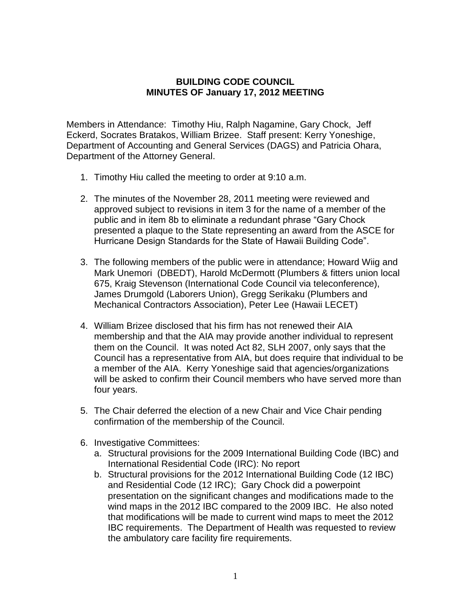## **BUILDING CODE COUNCIL MINUTES OF January 17, 2012 MEETING**

Members in Attendance: Timothy Hiu, Ralph Nagamine, Gary Chock, Jeff Eckerd, Socrates Bratakos, William Brizee. Staff present: Kerry Yoneshige, Department of Accounting and General Services (DAGS) and Patricia Ohara, Department of the Attorney General.

- 1. Timothy Hiu called the meeting to order at 9:10 a.m.
- 2. The minutes of the November 28, 2011 meeting were reviewed and approved subject to revisions in item 3 for the name of a member of the public and in item 8b to eliminate a redundant phrase "Gary Chock presented a plaque to the State representing an award from the ASCE for Hurricane Design Standards for the State of Hawaii Building Code".
- 3. The following members of the public were in attendance; Howard Wiig and Mark Unemori (DBEDT), Harold McDermott (Plumbers & fitters union local 675, Kraig Stevenson (International Code Council via teleconference), James Drumgold (Laborers Union), Gregg Serikaku (Plumbers and Mechanical Contractors Association), Peter Lee (Hawaii LECET)
- 4. William Brizee disclosed that his firm has not renewed their AIA membership and that the AIA may provide another individual to represent them on the Council. It was noted Act 82, SLH 2007, only says that the Council has a representative from AIA, but does require that individual to be a member of the AIA. Kerry Yoneshige said that agencies/organizations will be asked to confirm their Council members who have served more than four years.
- 5. The Chair deferred the election of a new Chair and Vice Chair pending confirmation of the membership of the Council.
- 6. Investigative Committees:
	- a. Structural provisions for the 2009 International Building Code (IBC) and International Residential Code (IRC): No report
	- b. Structural provisions for the 2012 International Building Code (12 IBC) and Residential Code (12 IRC); Gary Chock did a powerpoint presentation on the significant changes and modifications made to the wind maps in the 2012 IBC compared to the 2009 IBC. He also noted that modifications will be made to current wind maps to meet the 2012 IBC requirements. The Department of Health was requested to review the ambulatory care facility fire requirements.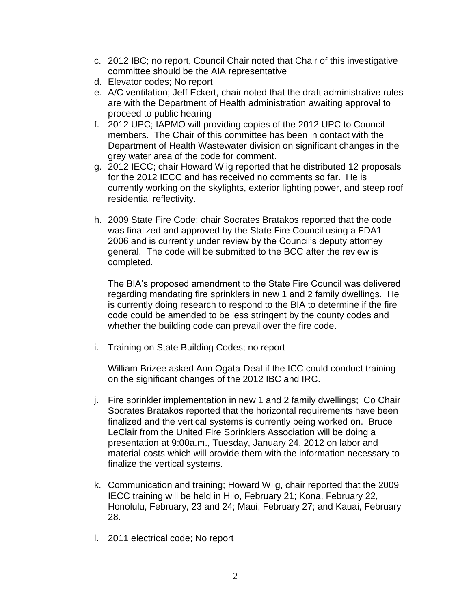- c. 2012 IBC; no report, Council Chair noted that Chair of this investigative committee should be the AIA representative
- d. Elevator codes; No report
- e. A/C ventilation; Jeff Eckert, chair noted that the draft administrative rules are with the Department of Health administration awaiting approval to proceed to public hearing
- f. 2012 UPC; IAPMO will providing copies of the 2012 UPC to Council members. The Chair of this committee has been in contact with the Department of Health Wastewater division on significant changes in the grey water area of the code for comment.
- g. 2012 IECC; chair Howard Wiig reported that he distributed 12 proposals for the 2012 IECC and has received no comments so far. He is currently working on the skylights, exterior lighting power, and steep roof residential reflectivity.
- h. 2009 State Fire Code; chair Socrates Bratakos reported that the code was finalized and approved by the State Fire Council using a FDA1 2006 and is currently under review by the Council's deputy attorney general. The code will be submitted to the BCC after the review is completed.

The BIA's proposed amendment to the State Fire Council was delivered regarding mandating fire sprinklers in new 1 and 2 family dwellings. He is currently doing research to respond to the BIA to determine if the fire code could be amended to be less stringent by the county codes and whether the building code can prevail over the fire code.

i. Training on State Building Codes; no report

William Brizee asked Ann Ogata-Deal if the ICC could conduct training on the significant changes of the 2012 IBC and IRC.

- j. Fire sprinkler implementation in new 1 and 2 family dwellings; Co Chair Socrates Bratakos reported that the horizontal requirements have been finalized and the vertical systems is currently being worked on. Bruce LeClair from the United Fire Sprinklers Association will be doing a presentation at 9:00a.m., Tuesday, January 24, 2012 on labor and material costs which will provide them with the information necessary to finalize the vertical systems.
- k. Communication and training; Howard Wiig, chair reported that the 2009 IECC training will be held in Hilo, February 21; Kona, February 22, Honolulu, February, 23 and 24; Maui, February 27; and Kauai, February 28.
- l. 2011 electrical code; No report